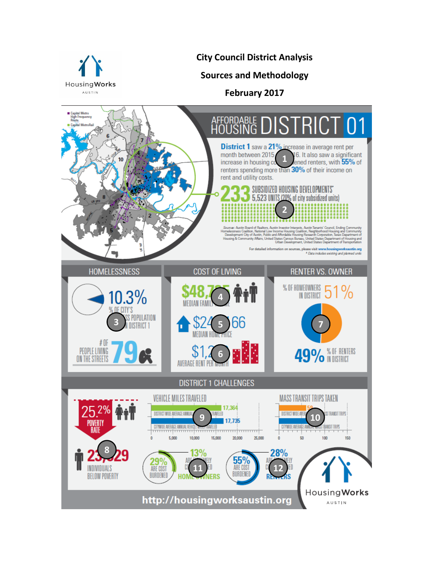

**City Council District Analysis**

**Sources and Methodology**

**February 2017**

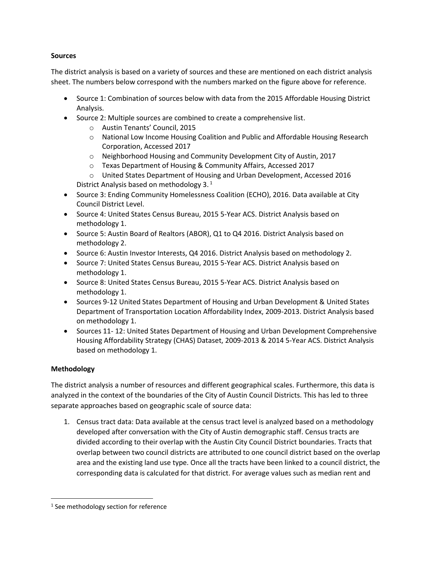## **Sources**

The district analysis is based on a variety of sources and these are mentioned on each district analysis sheet. The numbers below correspond with the numbers marked on the figure above for reference.

- Source 1: Combination of sources below with data from the 2015 Affordable Housing District Analysis.
- Source 2: Multiple sources are combined to create a comprehensive list.
	- o Austin Tenants' Council, 2015
	- o National Low Income Housing Coalition and Public and Affordable Housing Research Corporation, Accessed 2017
	- o Neighborhood Housing and Community Development City of Austin, 2017
	- o Texas Department of Housing & Community Affairs, Accessed 2017
	- o United States Department of Housing and Urban Development, Accessed 2016 District Analysis based on methodology 3.<sup>1</sup>
- Source 3: Ending Community Homelessness Coalition (ECHO), 2016. Data available at City Council District Level.
- Source 4: United States Census Bureau, 2015 5-Year ACS. District Analysis based on methodology 1.
- Source 5: Austin Board of Realtors (ABOR), Q1 to Q4 2016. District Analysis based on methodology 2.
- Source 6: Austin Investor Interests, Q4 2016. District Analysis based on methodology 2.
- Source 7: United States Census Bureau, 2015 5-Year ACS. District Analysis based on methodology 1.
- Source 8: United States Census Bureau, 2015 5-Year ACS. District Analysis based on methodology 1.
- Sources 9-12 United States Department of Housing and Urban Development & United States Department of Transportation Location Affordability Index, 2009-2013. District Analysis based on methodology 1.
- Sources 11-12: United States Department of Housing and Urban Development Comprehensive Housing Affordability Strategy (CHAS) Dataset, 2009-2013 & 2014 5-Year ACS. District Analysis based on methodology 1.

## **Methodology**

 $\overline{\phantom{a}}$ 

The district analysis a number of resources and different geographical scales. Furthermore, this data is analyzed in the context of the boundaries of the City of Austin Council Districts. This has led to three separate approaches based on geographic scale of source data:

1. Census tract data: Data available at the census tract level is analyzed based on a methodology developed after conversation with the City of Austin demographic staff. Census tracts are divided according to their overlap with the Austin City Council District boundaries. Tracts that overlap between two council districts are attributed to one council district based on the overlap area and the existing land use type. Once all the tracts have been linked to a council district, the corresponding data is calculated for that district. For average values such as median rent and

<sup>&</sup>lt;sup>1</sup> See methodology section for reference